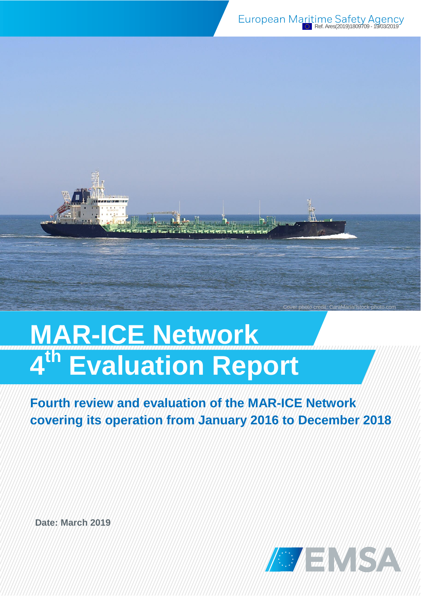

# **MAR-ICE Network 4 th Evaluation Report**

**Fourth review and evaluation of the MAR-ICE Network covering its operation from January 2016 to December 2018**

**Date: March 2019**



Cover photo credit: CaraMaria/Istock-photo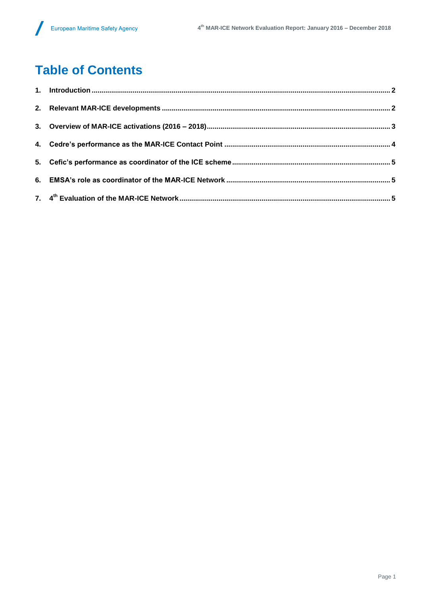# **Table of Contents**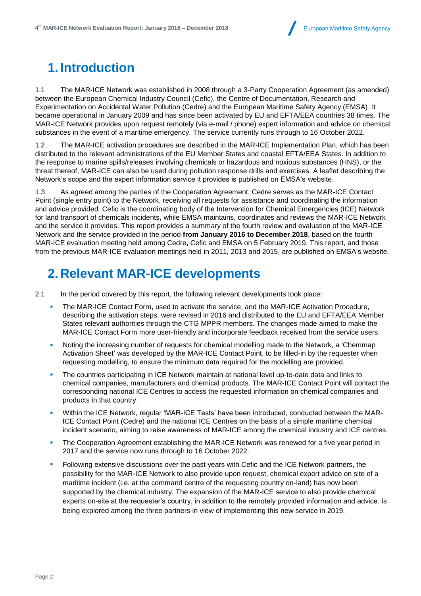### <span id="page-3-0"></span>**1. Introduction**

1.1 The MAR-ICE Network was established in 2008 through a 3-Party Cooperation Agreement (as amended) between the European Chemical Industry Council (Cefic), the Centre of Documentation, Research and Experimentation on Accidental Water Pollution (Cedre) and the European Maritime Safety Agency (EMSA). It became operational in January 2009 and has since been activated by EU and EFTA/EEA countries 38 times. The MAR-ICE Network provides upon request remotely (via e-mail / phone) expert information and advice on chemical substances in the event of a maritime emergency. The service currently runs through to 16 October 2022.

1.2 The MAR-ICE activation procedures are described in the MAR-ICE Implementation Plan, which has been distributed to the relevant administrations of the EU Member States and coastal EFTA/EEA States. In addition to the response to marine spills/releases involving chemicals or hazardous and noxious substances (HNS), or the threat thereof, MAR-ICE can also be used during pollution response drills and exercises. A leaflet describing the Network's scope and the expert information service it provides is published on EMSA's website.

1.3 As agreed among the parties of the Cooperation Agreement, Cedre serves as the MAR-ICE Contact Point (single entry point) to the Network, receiving all requests for assistance and coordinating the information and advice provided. Cefic is the coordinating body of the Intervention for Chemical Emergencies (ICE) Network for land transport of chemicals incidents, while EMSA maintains, coordinates and reviews the MAR-ICE Network and the service it provides. This report provides a summary of the fourth review and evaluation of the MAR-ICE Network and the service provided in the period **from January 2016 to December 2018**, based on the fourth MAR-ICE evaluation meeting held among Cedre, Cefic and EMSA on 5 February 2019. This report, and those from the previous MAR-ICE evaluation meetings held in 2011, 2013 and 2015, are published on EMSA's website.

#### <span id="page-3-1"></span>**2. Relevant MAR-ICE developments**

- 2.1 In the period covered by this report, the following relevant developments took place:
	- **The MAR-ICE Contact Form, used to activate the service, and the MAR-ICE Activation Procedure,** describing the activation steps, were revised in 2016 and distributed to the EU and EFTA/EEA Member States relevant authorities through the CTG MPPR members. The changes made aimed to make the MAR-ICE Contact Form more user-friendly and incorporate feedback received from the service users.
	- Noting the increasing number of requests for chemical modelling made to the Network, a 'Chemmap Activation Sheet' was developed by the MAR-ICE Contact Point, to be filled-in by the requester when requesting modelling, to ensure the minimum data required for the modelling are provided.
	- **The countries participating in ICE Network maintain at national level up-to-date data and links to** chemical companies, manufacturers and chemical products. The MAR-ICE Contact Point will contact the corresponding national ICE Centres to access the requested information on chemical companies and products in that country.
	- Within the ICE Network, regular 'MAR-ICE Tests' have been introduced, conducted between the MAR-ICE Contact Point (Cedre) and the national ICE Centres on the basis of a simple maritime chemical incident scenario, aiming to raise awareness of MAR-ICE among the chemical industry and ICE centres.
	- The Cooperation Agreement establishing the MAR-ICE Network was renewed for a five year period in 2017 and the service now runs through to 16 October 2022.
	- Following extensive discussions over the past years with Cefic and the ICE Network partners, the possibility for the MAR-ICE Network to also provide upon request, chemical expert advice on site of a maritime incident (i.e. at the command centre of the requesting country on-land) has now been supported by the chemical industry. The expansion of the MAR-ICE service to also provide chemical experts on-site at the requester's country, in addition to the remotely provided information and advice, is being explored among the three partners in view of implementing this new service in 2019.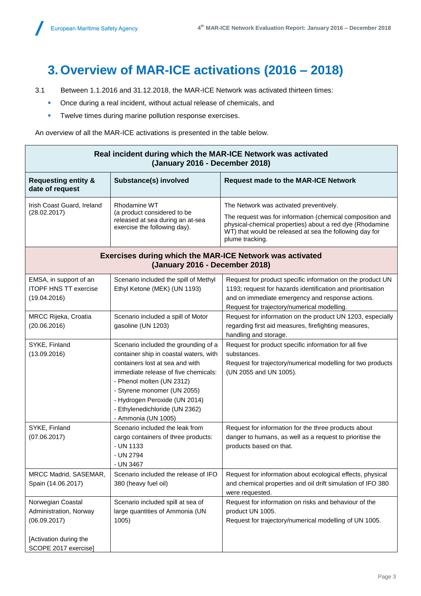# <span id="page-4-0"></span>**3.Overview of MAR-ICE activations (2016 – 2018)**

- 3.1 Between 1.1.2016 and 31.12.2018, the MAR-ICE Network was activated thirteen times:
	- **•** Once during a real incident, without actual release of chemicals, and
	- **Twelve times during marine pollution response exercises.**

An overview of all the MAR-ICE activations is presented in the table below.

| Real incident during which the MAR-ICE Network was activated<br>(January 2016 - December 2018)                |                                                                                                                                                                                                                                                                                                                 |                                                                                                                                                                                                                                                |  |  |  |  |
|---------------------------------------------------------------------------------------------------------------|-----------------------------------------------------------------------------------------------------------------------------------------------------------------------------------------------------------------------------------------------------------------------------------------------------------------|------------------------------------------------------------------------------------------------------------------------------------------------------------------------------------------------------------------------------------------------|--|--|--|--|
| <b>Requesting entity &amp;</b><br>date of request                                                             | <b>Substance(s) involved</b>                                                                                                                                                                                                                                                                                    | <b>Request made to the MAR-ICE Network</b>                                                                                                                                                                                                     |  |  |  |  |
| Irish Coast Guard, Ireland<br>(28.02.2017)                                                                    | Rhodamine WT<br>(a product considered to be<br>released at sea during an at-sea<br>exercise the following day).                                                                                                                                                                                                 | The Network was activated preventively.<br>The request was for information (chemical composition and<br>physical-chemical properties) about a red dye (Rhodamine<br>WT) that would be released at sea the following day for<br>plume tracking. |  |  |  |  |
| <b>Exercises during which the MAR-ICE Network was activated</b><br>(January 2016 - December 2018)             |                                                                                                                                                                                                                                                                                                                 |                                                                                                                                                                                                                                                |  |  |  |  |
| EMSA, in support of an<br><b>ITOPF HNS TT exercise</b><br>(19.04.2016)                                        | Scenario included the spill of Methyl<br>Ethyl Ketone (MEK) (UN 1193)                                                                                                                                                                                                                                           | Request for product specific information on the product UN<br>1193; request for hazards identification and prioritisation<br>and on immediate emergency and response actions.<br>Request for trajectory/numerical modelling.                   |  |  |  |  |
| MRCC Rijeka, Croatia<br>(20.06.2016)                                                                          | Scenario included a spill of Motor<br>gasoline (UN 1203)                                                                                                                                                                                                                                                        | Request for information on the product UN 1203, especially<br>regarding first aid measures, firefighting measures,<br>handling and storage.                                                                                                    |  |  |  |  |
| SYKE, Finland<br>(13.09.2016)                                                                                 | Scenario included the grounding of a<br>container ship in coastal waters, with<br>containers lost at sea and with<br>immediate release of five chemicals:<br>- Phenol molten (UN 2312)<br>- Styrene monomer (UN 2055)<br>- Hydrogen Peroxide (UN 2014)<br>- Ethylenedichloride (UN 2362)<br>- Ammonia (UN 1005) | Request for product specific information for all five<br>substances.<br>Request for trajectory/numerical modelling for two products<br>(UN 2055 and UN 1005).                                                                                  |  |  |  |  |
| SYKE, Finland<br>(07.06.2017)                                                                                 | Scenario included the leak from<br>cargo containers of three products:<br>- UN 1133<br>- UN 2794<br>- UN 3467                                                                                                                                                                                                   | Request for information for the three products about<br>danger to humans, as well as a request to prioritise the<br>products based on that.                                                                                                    |  |  |  |  |
| MRCC Madrid, SASEMAR,<br>Spain (14.06.2017)                                                                   | Scenario included the release of IFO<br>380 (heavy fuel oil)                                                                                                                                                                                                                                                    | Request for information about ecological effects, physical<br>and chemical properties and oil drift simulation of IFO 380<br>were requested.                                                                                                   |  |  |  |  |
| Norwegian Coastal<br>Administration, Norway<br>(06.09.2017)<br>[Activation during the<br>SCOPE 2017 exercise] | Scenario included spill at sea of<br>large quantities of Ammonia (UN<br>1005)                                                                                                                                                                                                                                   | Request for information on risks and behaviour of the<br>product UN 1005.<br>Request for trajectory/numerical modelling of UN 1005.                                                                                                            |  |  |  |  |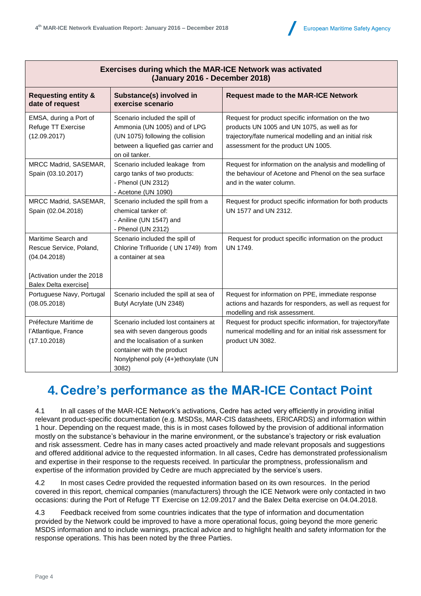

| <b>Exercises during which the MAR-ICE Network was activated</b><br>(January 2016 - December 2018) |                                                                                                                                                                                          |                                                                                                                                                                                                       |  |  |  |
|---------------------------------------------------------------------------------------------------|------------------------------------------------------------------------------------------------------------------------------------------------------------------------------------------|-------------------------------------------------------------------------------------------------------------------------------------------------------------------------------------------------------|--|--|--|
| <b>Requesting entity &amp;</b><br>date of request                                                 | Substance(s) involved in<br>exercise scenario                                                                                                                                            | <b>Request made to the MAR-ICE Network</b>                                                                                                                                                            |  |  |  |
| EMSA, during a Port of<br>Refuge TT Exercise<br>(12.09.2017)                                      | Scenario included the spill of<br>Ammonia (UN 1005) and of LPG<br>(UN 1075) following the collision<br>between a liquefied gas carrier and<br>on oil tanker.                             | Request for product specific information on the two<br>products UN 1005 and UN 1075, as well as for<br>trajectory/fate numerical modelling and an initial risk<br>assessment for the product UN 1005. |  |  |  |
| MRCC Madrid, SASEMAR,<br>Spain (03.10.2017)                                                       | Scenario included leakage from<br>cargo tanks of two products:<br>- Phenol (UN 2312)<br>- Acetone (UN 1090)                                                                              | Request for information on the analysis and modelling of<br>the behaviour of Acetone and Phenol on the sea surface<br>and in the water column.                                                        |  |  |  |
| MRCC Madrid, SASEMAR,<br>Spain (02.04.2018)                                                       | Scenario included the spill from a<br>chemical tanker of:<br>- Aniline (UN 1547) and<br>- Phenol (UN 2312)                                                                               | Request for product specific information for both products<br>UN 1577 and UN 2312.                                                                                                                    |  |  |  |
| Maritime Search and<br>Rescue Service, Poland,<br>(04.04.2018)<br>[Activation under the 2018      | Scenario included the spill of<br>Chlorine Trifluoride (UN 1749) from<br>a container at sea                                                                                              | Request for product specific information on the product<br>UN 1749.                                                                                                                                   |  |  |  |
| Balex Delta exercise]<br>Portuguese Navy, Portugal<br>(08.05.2018)                                | Scenario included the spill at sea of<br>Butyl Acrylate (UN 2348)                                                                                                                        | Request for information on PPE, immediate response<br>actions and hazards for responders, as well as request for<br>modelling and risk assessment.                                                    |  |  |  |
| Préfecture Maritime de<br>l'Atlantique, France<br>(17.10.2018)                                    | Scenario included lost containers at<br>sea with seven dangerous goods<br>and the localisation of a sunken<br>container with the product<br>Nonylphenol poly (4+)ethoxylate (UN<br>3082) | Request for product specific information, for trajectory/fate<br>numerical modelling and for an initial risk assessment for<br>product UN 3082.                                                       |  |  |  |

#### <span id="page-5-0"></span>**4. Cedre's performance as the MAR-ICE Contact Point**

4.1 In all cases of the MAR-ICE Network's activations, Cedre has acted very efficiently in providing initial relevant product-specific documentation (e.g. MSDSs, MAR-CIS datasheets, ERICARDS) and information within 1 hour. Depending on the request made, this is in most cases followed by the provision of additional information mostly on the substance's behaviour in the marine environment, or the substance's trajectory or risk evaluation and risk assessment. Cedre has in many cases acted proactively and made relevant proposals and suggestions and offered additional advice to the requested information. In all cases, Cedre has demonstrated professionalism and expertise in their response to the requests received. In particular the promptness, professionalism and expertise of the information provided by Cedre are much appreciated by the service's users.

4.2 In most cases Cedre provided the requested information based on its own resources. In the period covered in this report, chemical companies (manufacturers) through the ICE Network were only contacted in two occasions: during the Port of Refuge TT Exercise on 12.09.2017 and the Balex Delta exercise on 04.04.2018.

4.3 Feedback received from some countries indicates that the type of information and documentation provided by the Network could be improved to have a more operational focus, going beyond the more generic MSDS information and to include warnings, practical advice and to highlight health and safety information for the response operations. This has been noted by the three Parties.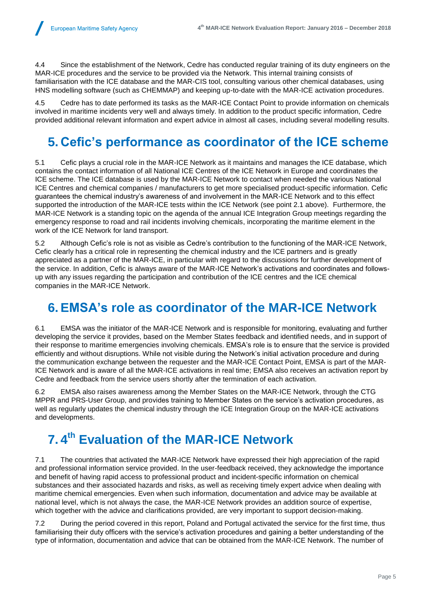4.4 Since the establishment of the Network, Cedre has conducted regular training of its duty engineers on the MAR-ICE procedures and the service to be provided via the Network. This internal training consists of familiarisation with the ICE database and the MAR-CIS tool, consulting various other chemical databases, using HNS modelling software (such as CHEMMAP) and keeping up-to-date with the MAR-ICE activation procedures.

4.5 Cedre has to date performed its tasks as the MAR-ICE Contact Point to provide information on chemicals involved in maritime incidents very well and always timely. In addition to the product specific information, Cedre provided additional relevant information and expert advice in almost all cases, including several modelling results.

## <span id="page-6-0"></span>**5. Cefic's performance as coordinator of the ICE scheme**

5.1 Cefic plays a crucial role in the MAR-ICE Network as it maintains and manages the ICE database, which contains the contact information of all National ICE Centres of the ICE Network in Europe and coordinates the ICE scheme. The ICE database is used by the MAR-ICE Network to contact when needed the various National ICE Centres and chemical companies / manufacturers to get more specialised product-specific information. Cefic guarantees the chemical industry's awareness of and involvement in the MAR-ICE Network and to this effect supported the introduction of the MAR-ICE tests within the ICE Network (see point 2.1 above). Furthermore, the MAR-ICE Network is a standing topic on the agenda of the annual ICE Integration Group meetings regarding the emergency response to road and rail incidents involving chemicals, incorporating the maritime element in the work of the ICE Network for land transport.

5.2 Although Cefic's role is not as visible as Cedre's contribution to the functioning of the MAR-ICE Network, Cefic clearly has a critical role in representing the chemical industry and the ICE partners and is greatly appreciated as a partner of the MAR-ICE, in particular with regard to the discussions for further development of the service. In addition, Cefic is always aware of the MAR-ICE Network's activations and coordinates and followsup with any issues regarding the participation and contribution of the ICE centres and the ICE chemical companies in the MAR-ICE Network.

#### <span id="page-6-1"></span>**6. EMSA's role as coordinator of the MAR-ICE Network**

6.1 EMSA was the initiator of the MAR-ICE Network and is responsible for monitoring, evaluating and further developing the service it provides, based on the Member States feedback and identified needs, and in support of their response to maritime emergencies involving chemicals. EMSA's role is to ensure that the service is provided efficiently and without disruptions. While not visible during the Network's initial activation procedure and during the communication exchange between the requester and the MAR-ICE Contact Point, EMSA is part of the MAR-ICE Network and is aware of all the MAR-ICE activations in real time; EMSA also receives an activation report by Cedre and feedback from the service users shortly after the termination of each activation.

6.2 EMSA also raises awareness among the Member States on the MAR-ICE Network, through the CTG MPPR and PRS-User Group, and provides training to Member States on the service's activation procedures, as well as regularly updates the chemical industry through the ICE Integration Group on the MAR-ICE activations and developments.

# <span id="page-6-2"></span>**7. 4 th Evaluation of the MAR-ICE Network**

7.1 The countries that activated the MAR-ICE Network have expressed their high appreciation of the rapid and professional information service provided. In the user-feedback received, they acknowledge the importance and benefit of having rapid access to professional product and incident-specific information on chemical substances and their associated hazards and risks, as well as receiving timely expert advice when dealing with maritime chemical emergencies. Even when such information, documentation and advice may be available at national level, which is not always the case, the MAR-ICE Network provides an addition source of expertise, which together with the advice and clarifications provided, are very important to support decision-making.

7.2 During the period covered in this report, Poland and Portugal activated the service for the first time, thus familiarising their duty officers with the service's activation procedures and gaining a better understanding of the type of information, documentation and advice that can be obtained from the MAR-ICE Network. The number of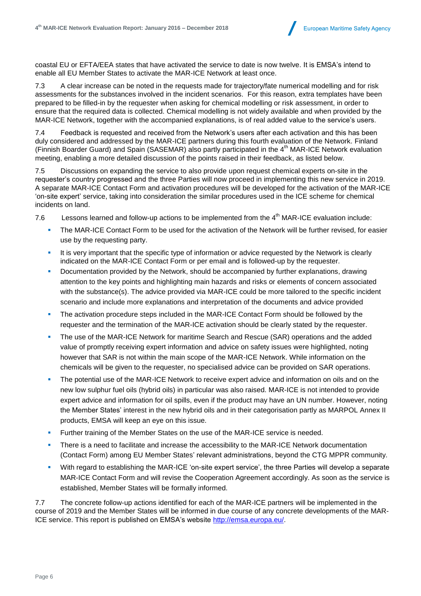

coastal EU or EFTA/EEA states that have activated the service to date is now twelve. It is EMSA's intend to enable all EU Member States to activate the MAR-ICE Network at least once.

7.3 A clear increase can be noted in the requests made for trajectory/fate numerical modelling and for risk assessments for the substances involved in the incident scenarios. For this reason, extra templates have been prepared to be filled-in by the requester when asking for chemical modelling or risk assessment, in order to ensure that the required data is collected. Chemical modelling is not widely available and when provided by the MAR-ICE Network, together with the accompanied explanations, is of real added value to the service's users.

7.4 Feedback is requested and received from the Network's users after each activation and this has been duly considered and addressed by the MAR-ICE partners during this fourth evaluation of the Network. Finland (Finnish Boarder Guard) and Spain (SASEMAR) also partly participated in the 4<sup>th</sup> MAR-ICE Network evaluation meeting, enabling a more detailed discussion of the points raised in their feedback, as listed below.

7.5 Discussions on expanding the service to also provide upon request chemical experts on-site in the requester's country progressed and the three Parties will now proceed in implementing this new service in 2019. A separate MAR-ICE Contact Form and activation procedures will be developed for the activation of the MAR-ICE 'on-site expert' service, taking into consideration the similar procedures used in the ICE scheme for chemical incidents on land.

- 7.6 Lessons learned and follow-up actions to be implemented from the  $4<sup>th</sup>$  MAR-ICE evaluation include:
	- **The MAR-ICE Contact Form to be used for the activation of the Network will be further revised, for easier** use by the requesting party.
	- It is very important that the specific type of information or advice requested by the Network is clearly indicated on the MAR-ICE Contact Form or per email and is followed-up by the requester.
	- **Documentation provided by the Network, should be accompanied by further explanations, drawing** attention to the key points and highlighting main hazards and risks or elements of concern associated with the substance(s). The advice provided via MAR-ICE could be more tailored to the specific incident scenario and include more explanations and interpretation of the documents and advice provided
	- The activation procedure steps included in the MAR-ICE Contact Form should be followed by the requester and the termination of the MAR-ICE activation should be clearly stated by the requester.
	- The use of the MAR-ICE Network for maritime Search and Rescue (SAR) operations and the added value of promptly receiving expert information and advice on safety issues were highlighted, noting however that SAR is not within the main scope of the MAR-ICE Network. While information on the chemicals will be given to the requester, no specialised advice can be provided on SAR operations.
	- The potential use of the MAR-ICE Network to receive expert advice and information on oils and on the new low sulphur fuel oils (hybrid oils) in particular was also raised. MAR-ICE is not intended to provide expert advice and information for oil spills, even if the product may have an UN number. However, noting the Member States' interest in the new hybrid oils and in their categorisation partly as MARPOL Annex II products, EMSA will keep an eye on this issue.
	- **Further training of the Member States on the use of the MAR-ICE service is needed.**
	- There is a need to facilitate and increase the accessibility to the MAR-ICE Network documentation (Contact Form) among EU Member States' relevant administrations, beyond the CTG MPPR community.
	- With regard to establishing the MAR-ICE 'on-site expert service', the three Parties will develop a separate MAR-ICE Contact Form and will revise the Cooperation Agreement accordingly. As soon as the service is established, Member States will be formally informed.

7.7 The concrete follow-up actions identified for each of the MAR-ICE partners will be implemented in the course of 2019 and the Member States will be informed in due course of any concrete developments of the MAR-ICE service. This report is published on EMSA's website [http://emsa.europa.eu/.](http://emsa.europa.eu/)